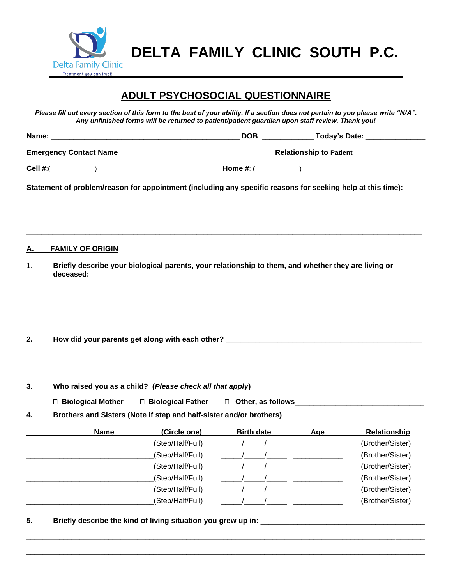

**DELTA FAMILY CLINIC SOUTH P.C.**

# **ADULT PSYCHOSOCIAL QUESTIONNAIRE**

*Please fill out every section of this form to the best of your ability. If a section does not pertain to you please write "N/A". Any unfinished forms will be returned to patient/patient guardian upon staff review. Thank you!*

|    | Statement of problem/reason for appointment (including any specific reasons for seeking help at this time):<br>,我们也不能会在这里,我们也不能会在这里,我们也不能会在这里,我们也不能会在这里,我们也不能会在这里,我们也不能会不能会不能会。""我们,我们也不能会不能会不能 |                                                                                  |  |
|----|-------------------------------------------------------------------------------------------------------------------------------------------------------------------------------------------------|----------------------------------------------------------------------------------|--|
| А. | <b>FAMILY OF ORIGIN</b>                                                                                                                                                                         |                                                                                  |  |
| 1. | Briefly describe your biological parents, your relationship to them, and whether they are living or<br>deceased:                                                                                |                                                                                  |  |
|    |                                                                                                                                                                                                 |                                                                                  |  |
| 2. | How did your parents get along with each other? ________________________________                                                                                                                | ,我们也不能会在这里,我们也不能会在这里,我们也不能会在这里,我们也不能会在这里,我们也不能会在这里,我们也不能会在这里,我们也不能会不能会不能会。""我们,我 |  |
|    |                                                                                                                                                                                                 |                                                                                  |  |

**3. Who raised you as a child? (***Please check all that apply***)**

□ Biological Mother □ Biological Father □ Other, as follows

**4. Brothers and Sisters (Note if step and half-sister and/or brothers)**

| <b>Name</b> | (Circle one)     | <b>Birth date</b> | Aqe | <b>Relationship</b> |
|-------------|------------------|-------------------|-----|---------------------|
|             | (Step/Half/Full) |                   |     | (Brother/Sister)    |
|             | (Step/Half/Full) |                   |     | (Brother/Sister)    |
|             | (Step/Half/Full) |                   |     | (Brother/Sister)    |
|             | (Step/Half/Full) |                   |     | (Brother/Sister)    |
|             | (Step/Half/Full) |                   |     | (Brother/Sister)    |
|             | (Step/Half/Full) |                   |     | (Brother/Sister)    |

\_\_\_\_\_\_\_\_\_\_\_\_\_\_\_\_\_\_\_\_\_\_\_\_\_\_\_\_\_\_\_\_\_\_\_\_\_\_\_\_\_\_\_\_\_\_\_\_\_\_\_\_\_\_\_\_\_\_\_\_\_\_\_\_\_\_\_\_\_\_\_\_\_\_\_\_\_\_\_\_\_\_\_\_\_\_\_\_\_\_\_\_\_\_\_\_\_ \_\_\_\_\_\_\_\_\_\_\_\_\_\_\_\_\_\_\_\_\_\_\_\_\_\_\_\_\_\_\_\_\_\_\_\_\_\_\_\_\_\_\_\_\_\_\_\_\_\_\_\_\_\_\_\_\_\_\_\_\_\_\_\_\_\_\_\_\_\_\_\_\_\_\_\_\_\_\_\_\_\_\_\_\_\_\_\_\_\_\_\_\_\_\_\_\_

**5. Briefly describe the kind of living situation you grew up in:** \_\_\_\_\_\_\_\_\_\_\_\_\_\_\_\_\_\_\_\_\_\_\_\_\_\_\_\_\_\_\_\_\_\_\_\_\_\_\_\_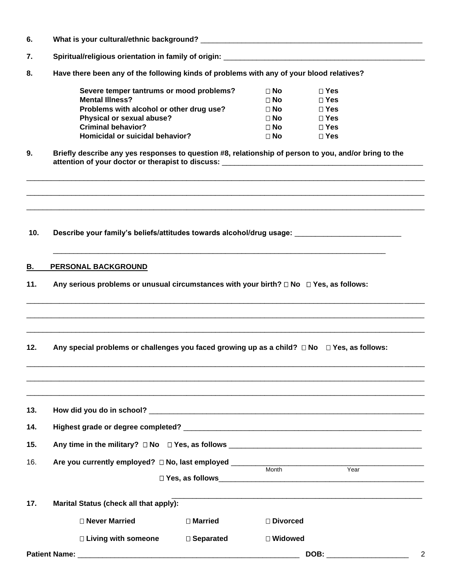- **6. What is your cultural/ethnic background?** \_\_\_\_\_\_\_\_\_\_\_\_\_\_\_\_\_\_\_\_\_\_\_\_\_\_\_\_\_\_\_\_\_\_\_\_\_\_\_\_\_\_\_\_\_\_\_\_\_\_\_\_\_\_
- **7. Spiritual/religious orientation in family of origin:** \_\_\_\_\_\_\_\_\_\_\_\_\_\_\_\_\_\_\_\_\_\_\_\_\_\_\_\_\_\_\_\_\_\_\_\_\_\_\_\_\_\_\_\_\_\_\_\_\_
- **8. Have there been any of the following kinds of problems with any of your blood relatives?**

| Severe temper tantrums or mood problems? | $\Box$ No   | $\Box$ Yes   |
|------------------------------------------|-------------|--------------|
| <b>Mental Illness?</b>                   | $\sqcap$ No | $\sqcap$ Yes |
| Problems with alcohol or other drug use? | $\sqcap$ No | $\sqcap$ Yes |
| Physical or sexual abuse?                | $\Box$ No   | $\sqcap$ Yes |
| <b>Criminal behavior?</b>                | $\sqcap$ No | $\sqcap$ Yes |
| Homicidal or suicidal behavior?          | $\Box$ No   | $\sqcap$ Yes |

**9. Briefly describe any yes responses to question #8, relationship of person to you, and/or bring to the attention of your doctor or therapist to discuss:** \_\_\_\_\_\_\_\_\_\_\_\_\_\_\_\_\_\_\_\_\_\_\_\_\_\_\_\_\_\_\_\_\_\_\_\_\_\_\_\_\_\_\_\_\_\_\_\_\_

\_\_\_\_\_\_\_\_\_\_\_\_\_\_\_\_\_\_\_\_\_\_\_\_\_\_\_\_\_\_\_\_\_\_\_\_\_\_\_\_\_\_\_\_\_\_\_\_\_\_\_\_\_\_\_\_\_\_\_\_\_\_\_\_\_\_\_\_\_\_\_\_\_\_\_\_\_\_\_\_\_\_\_\_\_\_\_\_\_\_\_\_\_\_\_\_\_  $\Box$ \_\_\_\_\_\_\_\_\_\_\_\_\_\_\_\_\_\_\_\_\_\_\_\_\_\_\_\_\_\_\_\_\_\_\_\_\_\_\_\_\_\_\_\_\_\_\_\_\_\_\_\_\_\_\_\_\_\_\_\_\_\_\_\_\_\_\_\_\_\_\_\_\_\_\_\_\_\_\_\_\_\_\_\_\_\_\_\_\_\_\_\_\_\_\_\_\_

\_\_\_\_\_\_\_\_\_\_\_\_\_\_\_\_\_\_\_\_\_\_\_\_\_\_\_\_\_\_\_\_\_\_\_\_\_\_\_\_\_\_\_\_\_\_\_\_\_\_\_\_\_\_\_\_\_\_\_\_\_\_\_\_\_\_\_\_\_\_\_\_\_\_\_\_\_\_\_\_\_

\_\_\_\_\_\_\_\_\_\_\_\_\_\_\_\_\_\_\_\_\_\_\_\_\_\_\_\_\_\_\_\_\_\_\_\_\_\_\_\_\_\_\_\_\_\_\_\_\_\_\_\_\_\_\_\_\_\_\_\_\_\_\_\_\_\_\_\_\_\_\_\_\_\_\_\_\_\_\_\_\_\_\_\_\_\_\_\_\_\_\_\_\_\_\_\_\_ \_\_\_\_\_\_\_\_\_\_\_\_\_\_\_\_\_\_\_\_\_\_\_\_\_\_\_\_\_\_\_\_\_\_\_\_\_\_\_\_\_\_\_\_\_\_\_\_\_\_\_\_\_\_\_\_\_\_\_\_\_\_\_\_\_\_\_\_\_\_\_\_\_\_\_\_\_\_\_\_\_\_\_\_\_\_\_\_\_\_\_\_\_\_\_\_\_ \_\_\_\_\_\_\_\_\_\_\_\_\_\_\_\_\_\_\_\_\_\_\_\_\_\_\_\_\_\_\_\_\_\_\_\_\_\_\_\_\_\_\_\_\_\_\_\_\_\_\_\_\_\_\_\_\_\_\_\_\_\_\_\_\_\_\_\_\_\_\_\_\_\_\_\_\_\_\_\_\_\_\_\_\_\_\_\_\_\_\_\_\_\_\_\_\_

\_\_\_\_\_\_\_\_\_\_\_\_\_\_\_\_\_\_\_\_\_\_\_\_\_\_\_\_\_\_\_\_\_\_\_\_\_\_\_\_\_\_\_\_\_\_\_\_\_\_\_\_\_\_\_\_\_\_\_\_\_\_\_\_\_\_\_\_\_\_\_\_\_\_\_\_\_\_\_\_\_\_\_\_\_\_\_\_\_\_\_\_\_\_\_\_\_  $\Box$ 

**10. Describe your family's beliefs/attitudes towards alcohol/drug usage:** \_\_\_\_\_\_\_\_\_\_\_\_\_\_\_\_\_\_\_\_\_\_\_\_\_\_

#### **B. PERSONAL BACKGROUND**

- **11.** Any serious problems or unusual circumstances with your birth? □ No □ Yes, as follows:
- **12.** Any special problems or challenges you faced growing up as a child? □ No □ Yes, as follows:

| 13. |                                        |                |                 |      |   |  |  |  |
|-----|----------------------------------------|----------------|-----------------|------|---|--|--|--|
| 14. |                                        |                |                 |      |   |  |  |  |
| 15. |                                        |                |                 |      |   |  |  |  |
| 16. |                                        |                | Month           | Year |   |  |  |  |
|     |                                        |                |                 |      |   |  |  |  |
| 17. | Marital Status (check all that apply): |                |                 |      |   |  |  |  |
|     | $\Box$ Never Married                   | $\Box$ Married | $\Box$ Divorced |      |   |  |  |  |
|     | $\Box$ Living with someone             | □ Separated    | $\Box$ Widowed  |      |   |  |  |  |
|     |                                        |                | DOB:            |      | 2 |  |  |  |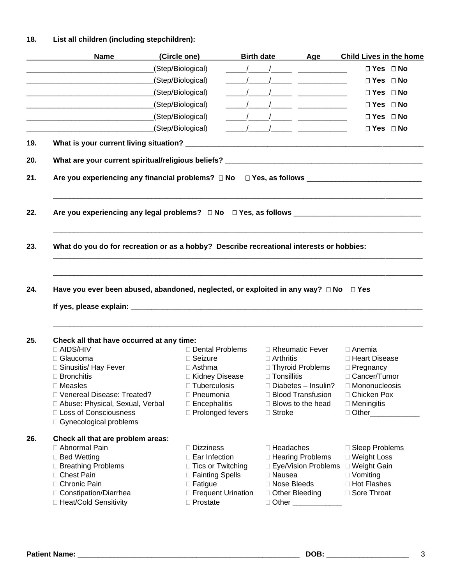# **18. List all children (including stepchildren):**

| <b>Name</b>                                                      | (Circle one)                                                                                                   | Birth date Age                                                                                                                                                                                                                                                                                                                                                          |                                                   | <b>Child Lives in the home</b>   |  |
|------------------------------------------------------------------|----------------------------------------------------------------------------------------------------------------|-------------------------------------------------------------------------------------------------------------------------------------------------------------------------------------------------------------------------------------------------------------------------------------------------------------------------------------------------------------------------|---------------------------------------------------|----------------------------------|--|
| <u> 1980 - Jan James James Barnett, fransk politik (d. 1980)</u> | (Step/Biological)                                                                                              |                                                                                                                                                                                                                                                                                                                                                                         |                                                   | □ Yes □ No                       |  |
|                                                                  | (Step/Biological)                                                                                              |                                                                                                                                                                                                                                                                                                                                                                         |                                                   | $\Box$ Yes $\Box$ No             |  |
| <u> 1980 - Johann Barn, mars an t-Amerikaansk politiker (</u>    | (Step/Biological)                                                                                              | $\begin{picture}(180,10) \put(0,0){\dashbox{0.5}(10,0){ }} \put(10,0){\dashbox{0.5}(10,0){ }} \put(10,0){\dashbox{0.5}(10,0){ }} \put(10,0){\dashbox{0.5}(10,0){ }} \put(10,0){\dashbox{0.5}(10,0){ }} \put(10,0){\dashbox{0.5}(10,0){ }} \put(10,0){\dashbox{0.5}(10,0){ }} \put(10,0){\dashbox{0.5}(10,0){ }} \put(10,0){\dashbox{0.5}(10,0){ }} \put(10,0){\dashbox$ |                                                   | $\Box$ Yes $\Box$ No             |  |
|                                                                  | (Step/Biological)                                                                                              |                                                                                                                                                                                                                                                                                                                                                                         |                                                   | $\Box$ Yes $\Box$ No             |  |
|                                                                  | (Step/Biological)                                                                                              | $\frac{1}{2}$ $\frac{1}{2}$ $\frac{1}{2}$ $\frac{1}{2}$ $\frac{1}{2}$ $\frac{1}{2}$ $\frac{1}{2}$ $\frac{1}{2}$ $\frac{1}{2}$ $\frac{1}{2}$ $\frac{1}{2}$ $\frac{1}{2}$ $\frac{1}{2}$ $\frac{1}{2}$ $\frac{1}{2}$ $\frac{1}{2}$ $\frac{1}{2}$ $\frac{1}{2}$ $\frac{1}{2}$ $\frac{1}{2}$ $\frac{1}{2}$ $\frac{1}{2}$                                                     |                                                   | $\Box$ Yes $\Box$ No             |  |
|                                                                  | (Step/Biological)                                                                                              |                                                                                                                                                                                                                                                                                                                                                                         |                                                   | $\Box$ Yes $\Box$ No             |  |
|                                                                  |                                                                                                                |                                                                                                                                                                                                                                                                                                                                                                         |                                                   |                                  |  |
|                                                                  |                                                                                                                |                                                                                                                                                                                                                                                                                                                                                                         |                                                   |                                  |  |
|                                                                  | Are you experiencing any financial problems? □ No □ Yes, as follows _______________________________            |                                                                                                                                                                                                                                                                                                                                                                         |                                                   |                                  |  |
|                                                                  | Are you experiencing any legal problems? $\square$ No $\square$ Yes, as follows ______________________________ |                                                                                                                                                                                                                                                                                                                                                                         |                                                   |                                  |  |
|                                                                  | What do you do for recreation or as a hobby? Describe recreational interests or hobbies:                       |                                                                                                                                                                                                                                                                                                                                                                         |                                                   |                                  |  |
|                                                                  |                                                                                                                |                                                                                                                                                                                                                                                                                                                                                                         |                                                   |                                  |  |
|                                                                  | Have you ever been abused, abandoned, neglected, or exploited in any way? □ No                                 |                                                                                                                                                                                                                                                                                                                                                                         |                                                   | $\Box$ Yes                       |  |
|                                                                  |                                                                                                                |                                                                                                                                                                                                                                                                                                                                                                         |                                                   |                                  |  |
| Check all that have occurred at any time:                        |                                                                                                                |                                                                                                                                                                                                                                                                                                                                                                         |                                                   |                                  |  |
| □ AIDS/HIV                                                       | □ Dental Problems                                                                                              |                                                                                                                                                                                                                                                                                                                                                                         | □ Rheumatic Fever                                 | $\Box$ Anemia                    |  |
| □ Glaucoma                                                       | $\Box$ Seizure                                                                                                 | $\Box$ Arthritis                                                                                                                                                                                                                                                                                                                                                        |                                                   | □ Heart Disease                  |  |
| □ Sinusitis/ Hay Fever                                           | $\Box$ Asthma                                                                                                  |                                                                                                                                                                                                                                                                                                                                                                         | □ Thyroid Problems                                | $\Box$ Pregnancy                 |  |
| $\Box$ Bronchitis<br>$\Box$ Measles                              | □ Kidney Disease                                                                                               | $\Box$ Tonsillitis                                                                                                                                                                                                                                                                                                                                                      |                                                   | □ Cancer/Tumor                   |  |
| □ Venereal Disease: Treated?                                     | $\Box$ Tuberculosis<br>$\Box$ Pneumonia                                                                        |                                                                                                                                                                                                                                                                                                                                                                         | $\Box$ Diabetes - Insulin?<br>□ Blood Transfusion | □ Mononucleosis<br>□ Chicken Pox |  |
| Abuse: Physical, Sexual, Verbal                                  | $\square$ Encephalitis                                                                                         |                                                                                                                                                                                                                                                                                                                                                                         | $\Box$ Blows to the head                          | $\Box$ Meningitis                |  |
| □ Loss of Consciousness<br>□ Gynecological problems              | □ Prolonged fevers                                                                                             | $\Box$ Stroke                                                                                                                                                                                                                                                                                                                                                           |                                                   | □ Other____________              |  |
| Check all that are problem areas:                                |                                                                                                                |                                                                                                                                                                                                                                                                                                                                                                         |                                                   |                                  |  |
| □ Abnormal Pain                                                  | $\Box$ Dizziness                                                                                               | □ Headaches                                                                                                                                                                                                                                                                                                                                                             |                                                   | □ Sleep Problems                 |  |
| □ Bed Wetting                                                    | □ Ear Infection                                                                                                |                                                                                                                                                                                                                                                                                                                                                                         | □ Hearing Problems                                | □ Weight Loss                    |  |
| □ Breathing Problems                                             | □ Tics or Twitching                                                                                            |                                                                                                                                                                                                                                                                                                                                                                         | □ Eye/Vision Problems                             | □ Weight Gain                    |  |
| □ Chest Pain                                                     | □ Fainting Spells                                                                                              | □ Nausea                                                                                                                                                                                                                                                                                                                                                                |                                                   | $\Box$ Vomiting                  |  |
| □ Chronic Pain                                                   | $\Box$ Fatigue                                                                                                 | □ Nose Bleeds                                                                                                                                                                                                                                                                                                                                                           |                                                   | □ Hot Flashes                    |  |
| □ Constipation/Diarrhea<br>□ Heat/Cold Sensitivity               | □ Frequent Urination<br>$\Box$ Prostate                                                                        | □ Other Bleeding                                                                                                                                                                                                                                                                                                                                                        | □ Other _______________                           | □ Sore Throat                    |  |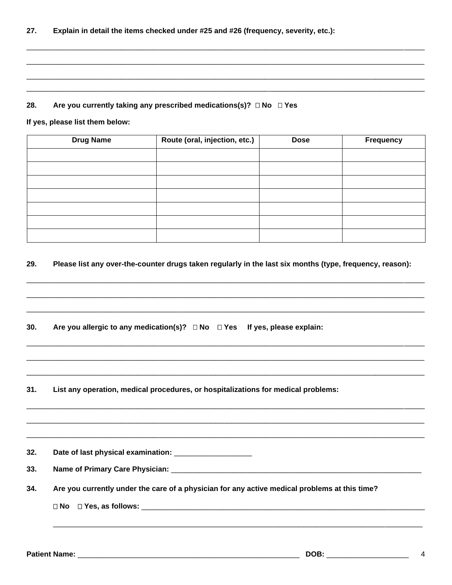#### Are you currently taking any prescribed medications(s)? □ No □ Yes 28.

If yes, please list them below:

| <b>Drug Name</b> | Route (oral, injection, etc.) | <b>Dose</b> | <b>Frequency</b> |
|------------------|-------------------------------|-------------|------------------|
|                  |                               |             |                  |
|                  |                               |             |                  |
|                  |                               |             |                  |
|                  |                               |             |                  |
|                  |                               |             |                  |
|                  |                               |             |                  |
|                  |                               |             |                  |

#### 29. Please list any over-the-counter drugs taken regularly in the last six months (type, frequency, reason):

| 30. | Are you allergic to any medication(s)? $\Box$ No $\Box$ Yes If yes, please explain:           |
|-----|-----------------------------------------------------------------------------------------------|
|     |                                                                                               |
|     |                                                                                               |
| 31. | List any operation, medical procedures, or hospitalizations for medical problems:             |
|     |                                                                                               |
|     |                                                                                               |
| 32. | Date of last physical examination: _____________________                                      |
| 33. |                                                                                               |
| 34. | Are you currently under the care of a physician for any active medical problems at this time? |
|     |                                                                                               |
|     |                                                                                               |
|     |                                                                                               |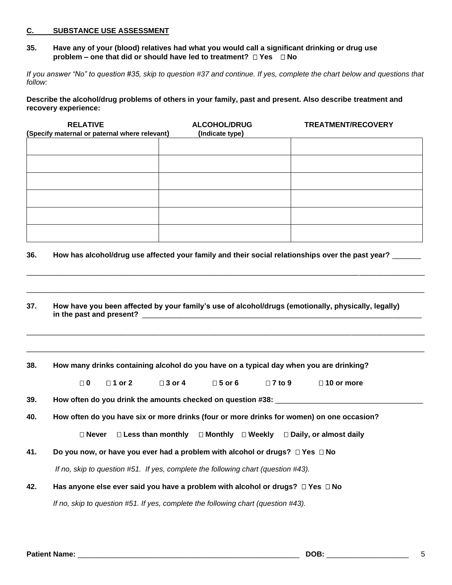#### **C. SUBSTANCE USE ASSESSMENT**

**35. Have any of your (blood) relatives had what you would call a significant drinking or drug use problem – one that did or should have led to treatment? Yes No**

*If you answer "No" to question #35, skip to question #37 and continue. If yes, complete the chart below and questions that follow:*

**Describe the alcohol/drug problems of others in your family, past and present. Also describe treatment and recovery experience:**

| <b>RELATIVE</b><br>(Specify maternal or paternal where relevant) | <b>ALCOHOL/DRUG</b><br>(Indicate type) | TREATMENT/RECOVERY |
|------------------------------------------------------------------|----------------------------------------|--------------------|
|                                                                  |                                        |                    |
|                                                                  |                                        |                    |
|                                                                  |                                        |                    |
|                                                                  |                                        |                    |
|                                                                  |                                        |                    |
|                                                                  |                                        |                    |

**36. How has alcohol/drug use affected your family and their social relationships over the past year?** \_\_\_\_\_\_\_

\_\_\_\_\_\_\_\_\_\_\_\_\_\_\_\_\_\_\_\_\_\_\_\_\_\_\_\_\_\_\_\_\_\_\_\_\_\_\_\_\_\_\_\_\_\_\_\_\_\_\_\_\_\_\_\_\_\_\_\_\_\_\_\_\_\_\_\_\_\_\_\_\_\_\_\_\_\_\_\_\_\_\_\_\_\_\_\_\_\_\_\_\_\_\_\_\_

 $\Box$ 

\_\_\_\_\_\_\_\_\_\_\_\_\_\_\_\_\_\_\_\_\_\_\_\_\_\_\_\_\_\_\_\_\_\_\_\_\_\_\_\_\_\_\_\_\_\_\_\_\_\_\_\_\_\_\_\_\_\_\_\_\_\_\_\_\_\_\_\_\_\_\_\_\_\_\_\_\_\_\_\_\_\_\_\_\_\_\_\_\_\_\_\_\_\_\_\_\_

 $\Box$ 

**37. How have you been affected by your family's use of alcohol/drugs (emotionally, physically, legally)** in the past and present?

**38. How many drinks containing alcohol do you have on a typical day when you are drinking?**

|  | $\Box$ 1 or 2 | $\Box$ 3 or 4 | $\square$ 5 or 6 | $\Box$ 7 to 9 | $\Box$ 10 or more |
|--|---------------|---------------|------------------|---------------|-------------------|
|  |               |               |                  |               |                   |

**39. How often do you drink the amounts checked on question #38:** \_\_\_\_\_\_\_\_\_\_\_\_\_\_\_\_\_\_\_\_\_\_\_\_\_\_\_\_\_\_\_\_\_\_\_\_

**40. How often do you have six or more drinks (four or more drinks for women) on one occasion?**

**Never Less than monthly Monthly Weekly Daily, or almost daily**

**41. Do you now, or have you ever had a problem with alcohol or drugs?**  $\Box$  Yes  $\Box$  No

*If no, skip to question #51. If yes, complete the following chart (question #43).*

**42. Has anyone else ever said you have a problem with alcohol or drugs? Yes No**

*If no, skip to question #51. If yes, complete the following chart (question #43).*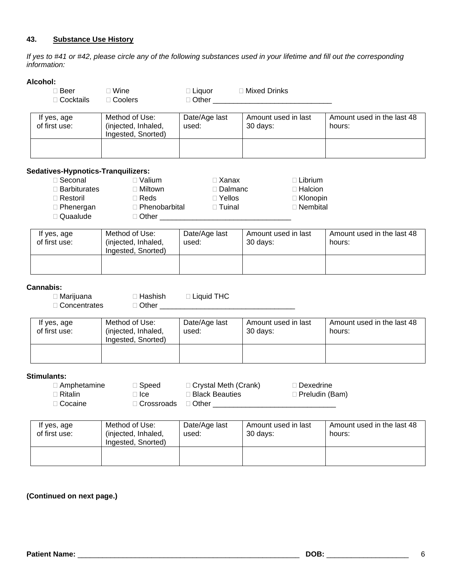### **43. Substance Use History**

*If yes to #41 or #42, please circle any of the following substances used in your lifetime and fill out the corresponding information:*

| Alcohol:                           |                     |                                  |                                             |                            |
|------------------------------------|---------------------|----------------------------------|---------------------------------------------|----------------------------|
| $\square$ Beer                     | $\Box$ Wine         | $\Box$ Liquor                    | □ Mixed Drinks                              |                            |
| □ Cocktails                        | □ Coolers           |                                  |                                             |                            |
|                                    |                     |                                  |                                             |                            |
| If yes, age                        | Method of Use:      | Date/Age last                    | Amount used in last                         | Amount used in the last 48 |
| of first use:                      | (injected, Inhaled, | used:                            | 30 days:                                    | hours:                     |
|                                    | Ingested, Snorted)  |                                  |                                             |                            |
|                                    |                     |                                  |                                             |                            |
|                                    |                     |                                  |                                             |                            |
|                                    |                     |                                  |                                             |                            |
| Sedatives-Hypnotics-Tranquilizers: |                     |                                  |                                             |                            |
| □ Seconal                          | □ Valium            | $\Box$ Xanax                     | $\Box$ Librium                              |                            |
| $\Box$ Barbiturates                | $\Box$ Miltown      | □ Dalmanc                        | $\Box$ Halcion                              |                            |
| □ Restoril                         | $\Box$ Reds         | $\Box$ Yellos                    | □ Klonopin                                  |                            |
| $\Box$ Phenergan                   |                     | □ Phenobarbital D Tuinal         | □ Nembital                                  |                            |
| □ Quaalude                         |                     |                                  |                                             |                            |
|                                    |                     |                                  |                                             |                            |
| If yes, age                        | Method of Use:      | Date/Age last                    | Amount used in last                         | Amount used in the last 48 |
| of first use:                      | (injected, Inhaled, | used:                            | 30 days:                                    | hours:                     |
|                                    | Ingested, Snorted)  |                                  |                                             |                            |
|                                    |                     |                                  |                                             |                            |
|                                    |                     |                                  |                                             |                            |
|                                    |                     |                                  |                                             |                            |
| Cannabis:                          |                     |                                  |                                             |                            |
| $\Box$ Marijuana                   |                     | $\Box$ Hashish $\Box$ Liquid THC |                                             |                            |
| □ Concentrates                     |                     |                                  |                                             |                            |
|                                    |                     |                                  |                                             |                            |
| If yes, age                        | Method of Use:      | Date/Age last                    | Amount used in last                         | Amount used in the last 48 |
| of first use:                      | (injected, Inhaled, | used:                            | 30 days:                                    | hours:                     |
|                                    | Ingested, Snorted)  |                                  |                                             |                            |
|                                    |                     |                                  |                                             |                            |
|                                    |                     |                                  |                                             |                            |
|                                    |                     |                                  |                                             |                            |
| <b>Stimulants:</b>                 |                     |                                  |                                             |                            |
| $\Box$ Amphetamine                 |                     | □ Speed □ Crystal Meth (Crank)   | □ Dexedrine                                 |                            |
| $\Box$ Ritalin                     | $\Box$ Ice          | □ Black Beauties                 |                                             | □ Preludin (Bam)           |
| □ Cocaine                          | □ Crossroads        |                                  |                                             |                            |
|                                    |                     |                                  | □ Other ___________________________________ |                            |
|                                    |                     |                                  |                                             |                            |
| If yes, age                        | Method of Use:      | Date/Age last                    | Amount used in last                         | Amount used in the last 48 |
| of first use:                      | (injected, Inhaled, | used:                            | 30 days:                                    | hours:                     |
|                                    | Ingested, Snorted)  |                                  |                                             |                            |
|                                    |                     |                                  |                                             |                            |
|                                    |                     |                                  |                                             |                            |
|                                    |                     |                                  |                                             |                            |

## **(Continued on next page.)**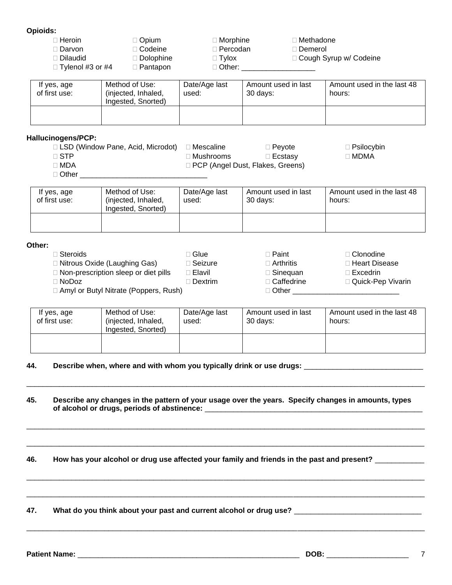#### **Opioids:**

| ∃ Heroin                | ⊒ Opium          | ∃ Morphine_  | ∃ Methadone_             |
|-------------------------|------------------|--------------|--------------------------|
| ∃Darvon i               | ∃ Codeine_       | ∃ Percodan.  | ∃ Demerol ⊺              |
| ∃ Dilaudid              | $\Box$ Dolophine | $\Box$ Tylox | □ Cough Syrup w/ Codeine |
| $\Box$ Tylenol #3 or #4 | ∃ Pantapon       | ∃ Other: ∶   |                          |
|                         |                  |              |                          |

| If yes, age<br>of first use: | Method of Use:<br>(injected, Inhaled,<br>Ingested, Snorted) | Date/Age last<br>used: | Amount used in last<br>30 days: | Amount used in the last 48<br>hours: |
|------------------------------|-------------------------------------------------------------|------------------------|---------------------------------|--------------------------------------|
|                              |                                                             |                        |                                 |                                      |

#### **Hallucinogens/PCP:**

LSD (Window Pane, Acid, Microdot) Mescaline Peyote Psilocybin

 $\square$  STP  $\square$  Mushrooms  $\square$  Ecstasy  $\square$  MDMA

- □ MDA Q PCP (Angel Dust, Flakes, Greens)
- $\Box$  Other

| If yes, age<br>of first use: | Method of Use:<br>(injected, Inhaled,<br>Ingested, Snorted) | Date/Age last<br>used: | Amount used in last<br>30 days: | Amount used in the last 48<br>hours: |
|------------------------------|-------------------------------------------------------------|------------------------|---------------------------------|--------------------------------------|
|                              |                                                             |                        |                                 |                                      |

#### **Other:**

 Steroids Glue Paint Clonodine □ Nitrous Oxide (Laughing Gas) □ Seizure □ Arthritis □ Heart Disease Non-prescription sleep or diet pills Elavil Sinequan Excedrin NoDoz Dextrim Caffedrine Quick-Pep Vivarin Amyl or Butyl Nitrate (Poppers, Rush) Other \_\_\_\_\_\_\_\_\_\_\_\_\_\_\_\_\_\_\_\_\_\_\_\_\_\_

| If yes, age<br>of first use: | Method of Use:<br>(injected, Inhaled,<br>Ingested, Snorted) | Date/Age last<br>used: | Amount used in last<br>30 days: | Amount used in the last 48<br>hours: |
|------------------------------|-------------------------------------------------------------|------------------------|---------------------------------|--------------------------------------|
|                              |                                                             |                        |                                 |                                      |

#### **44. Describe when, where and with whom you typically drink or use drugs:** \_\_\_\_\_\_\_\_\_\_\_\_\_\_\_\_\_\_\_\_\_\_\_\_\_\_\_\_\_

**45. Describe any changes in the pattern of your usage over the years. Specify changes in amounts, types of alcohol or drugs, periods of abstinence:** \_\_\_\_\_\_\_\_\_\_\_\_\_\_\_\_\_\_\_\_\_\_\_\_\_\_\_\_\_\_\_\_\_\_\_\_\_\_\_\_\_\_\_\_\_\_\_\_\_\_\_\_\_

\_\_\_\_\_\_\_\_\_\_\_\_\_\_\_\_\_\_\_\_\_\_\_\_\_\_\_\_\_\_\_\_\_\_\_\_\_\_\_\_\_\_\_\_\_\_\_\_\_\_\_\_\_\_\_\_\_\_\_\_\_\_\_\_\_\_\_\_\_\_\_\_\_\_\_\_\_\_\_\_\_\_\_\_\_\_\_\_\_\_\_\_\_\_\_\_\_

 $\Box$ 

\_\_\_\_\_\_\_\_\_\_\_\_\_\_\_\_\_\_\_\_\_\_\_\_\_\_\_\_\_\_\_\_\_\_\_\_\_\_\_\_\_\_\_\_\_\_\_\_\_\_\_\_\_\_\_\_\_\_\_\_\_\_\_\_\_\_\_\_\_\_\_\_\_\_\_\_\_\_\_\_\_\_\_\_\_\_\_\_\_\_\_\_\_\_\_\_\_

 $\Box$ 

\_\_\_\_\_\_\_\_\_\_\_\_\_\_\_\_\_\_\_\_\_\_\_\_\_\_\_\_\_\_\_\_\_\_\_\_\_\_\_\_\_\_\_\_\_\_\_\_\_\_\_\_\_\_\_\_\_\_\_\_\_\_\_\_\_\_\_\_\_\_\_\_\_\_\_\_\_\_\_\_\_\_\_\_\_\_\_\_\_\_\_\_\_\_\_\_\_

 $\Box$ 

### **46. How has your alcohol or drug use affected your family and friends in the past and present?** \_\_\_\_\_\_\_\_\_\_\_\_

## **47. What do you think about your past and current alcohol or drug use?** \_\_\_\_\_\_\_\_\_\_\_\_\_\_\_\_\_\_\_\_\_\_\_\_\_\_\_\_\_\_\_

**Patient Name:**  $\overline{7}$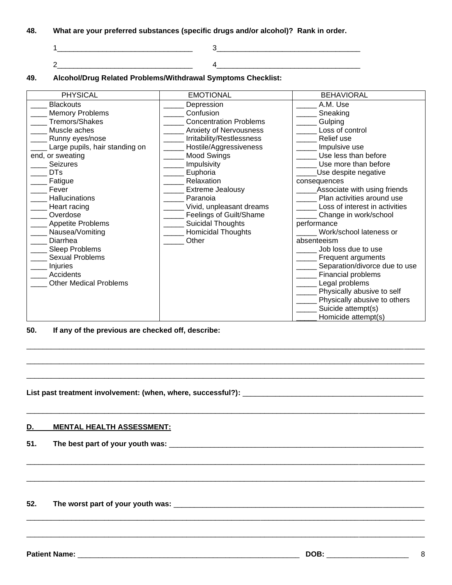- **48. What are your preferred substances (specific drugs and/or alcohol)? Rank in order.**
	- 1\_\_\_\_\_\_\_\_\_\_\_\_\_\_\_\_\_\_\_\_\_\_\_\_\_\_\_\_\_\_\_\_\_ 3\_\_\_\_\_\_\_\_\_\_\_\_\_\_\_\_\_\_\_\_\_\_\_\_\_\_\_\_\_\_\_\_\_\_\_ 2  $\overline{a}$  4
- **49. Alcohol/Drug Related Problems/Withdrawal Symptoms Checklist:**

| <b>PHYSICAL</b>                | <b>EMOTIONAL</b>              | <b>BEHAVIORAL</b>              |
|--------------------------------|-------------------------------|--------------------------------|
| <b>Blackouts</b>               | Depression                    | A.M. Use                       |
| <b>Memory Problems</b>         | Confusion                     | Sneaking                       |
| Tremors/Shakes                 | <b>Concentration Problems</b> | Gulping                        |
| Muscle aches                   | <b>Anxiety of Nervousness</b> | Loss of control                |
| Runny eyes/nose                | Irritability/Restlessness     | Relief use                     |
| Large pupils, hair standing on | Hostile/Aggressiveness        | Impulsive use                  |
| end, or sweating               | Mood Swings                   | Use less than before           |
| <b>Seizures</b>                | Impulsivity                   | Use more than before           |
| <b>DTs</b>                     | Euphoria                      | Use despite negative           |
| Fatigue                        | Relaxation                    | consequences                   |
| Fever                          | <b>Extreme Jealousy</b>       | Associate with using friends   |
| <b>Hallucinations</b>          | Paranoia                      | Plan activities around use     |
| Heart racing                   | Vivid, unpleasant dreams      | Loss of interest in activities |
| Overdose                       | Feelings of Guilt/Shame       | Change in work/school          |
| <b>Appetite Problems</b>       | Suicidal Thoughts             | performance                    |
| Nausea/Vomiting                | Homicidal Thoughts            | Work/school lateness or        |
| Diarrhea                       | Other                         | absenteeism                    |
| Sleep Problems                 |                               | Job loss due to use            |
| <b>Sexual Problems</b>         |                               | Frequent arguments             |
| Injuries                       |                               | Separation/divorce due to use  |
| <b>Accidents</b>               |                               | Financial problems             |
| <b>Other Medical Problems</b>  |                               | Legal problems                 |
|                                |                               | Physically abusive to self     |
|                                |                               | Physically abusive to others   |
|                                |                               | Suicide attempt(s)             |
|                                |                               | Homicide attempt(s)            |

\_\_\_\_\_\_\_\_\_\_\_\_\_\_\_\_\_\_\_\_\_\_\_\_\_\_\_\_\_\_\_\_\_\_\_\_\_\_\_\_\_\_\_\_\_\_\_\_\_\_\_\_\_\_\_\_\_\_\_\_\_\_\_\_\_\_\_\_\_\_\_\_\_\_\_\_\_\_\_\_\_\_\_\_\_\_\_\_\_\_\_\_\_\_\_\_\_ \_\_\_\_\_\_\_\_\_\_\_\_\_\_\_\_\_\_\_\_\_\_\_\_\_\_\_\_\_\_\_\_\_\_\_\_\_\_\_\_\_\_\_\_\_\_\_\_\_\_\_\_\_\_\_\_\_\_\_\_\_\_\_\_\_\_\_\_\_\_\_\_\_\_\_\_\_\_\_\_\_\_\_\_\_\_\_\_\_\_\_\_\_\_\_\_\_ \_\_\_\_\_\_\_\_\_\_\_\_\_\_\_\_\_\_\_\_\_\_\_\_\_\_\_\_\_\_\_\_\_\_\_\_\_\_\_\_\_\_\_\_\_\_\_\_\_\_\_\_\_\_\_\_\_\_\_\_\_\_\_\_\_\_\_\_\_\_\_\_\_\_\_\_\_\_\_\_\_\_\_\_\_\_\_\_\_\_\_\_\_\_\_\_\_

\_\_\_\_\_\_\_\_\_\_\_\_\_\_\_\_\_\_\_\_\_\_\_\_\_\_\_\_\_\_\_\_\_\_\_\_\_\_\_\_\_\_\_\_\_\_\_\_\_\_\_\_\_\_\_\_\_\_\_\_\_\_\_\_\_\_\_\_\_\_\_\_\_\_\_\_\_\_\_\_\_\_\_\_\_\_\_\_\_\_\_\_\_\_\_\_\_

\_\_\_\_\_\_\_\_\_\_\_\_\_\_\_\_\_\_\_\_\_\_\_\_\_\_\_\_\_\_\_\_\_\_\_\_\_\_\_\_\_\_\_\_\_\_\_\_\_\_\_\_\_\_\_\_\_\_\_\_\_\_\_\_\_\_\_\_\_\_\_\_\_\_\_\_\_\_\_\_\_\_\_\_\_\_\_\_\_\_\_\_\_\_\_\_\_

 $\Box$ 

 $\Box$ 

\_\_\_\_\_\_\_\_\_\_\_\_\_\_\_\_\_\_\_\_\_\_\_\_\_\_\_\_\_\_\_\_\_\_\_\_\_\_\_\_\_\_\_\_\_\_\_\_\_\_\_\_\_\_\_\_\_\_\_\_\_\_\_\_\_\_\_\_\_\_\_\_\_\_\_\_\_\_\_\_\_\_\_\_\_\_\_\_\_\_\_\_\_\_\_\_\_

**50. If any of the previous are checked off, describe:**

**List past treatment involvement: (when, where, successful?):** \_\_\_\_\_\_\_\_\_\_\_\_\_\_\_\_\_\_\_\_\_\_\_\_\_\_\_\_\_\_\_\_\_\_\_\_\_\_\_\_\_\_\_\_

#### **D. MENTAL HEALTH ASSESSMENT:**

**51. The best part of your youth was:** \_\_\_\_\_\_\_\_\_\_\_\_\_\_\_\_\_\_\_\_\_\_\_\_\_\_\_\_\_\_\_\_\_\_\_\_\_\_\_\_\_\_\_\_\_\_\_\_\_\_\_\_\_\_\_\_\_\_\_\_\_\_

**52. The worst part of your youth was:** \_\_\_\_\_\_\_\_\_\_\_\_\_\_\_\_\_\_\_\_\_\_\_\_\_\_\_\_\_\_\_\_\_\_\_\_\_\_\_\_\_\_\_\_\_\_\_\_\_\_\_\_\_\_\_\_\_\_\_\_\_

**Patient Name:** \_\_\_\_\_\_\_\_\_\_\_\_\_\_\_\_\_\_\_\_\_\_\_\_\_\_\_\_\_\_\_\_\_\_\_\_\_\_\_\_\_\_\_\_\_\_\_\_\_\_\_\_\_\_ **DOB:** \_\_\_\_\_\_\_\_\_\_\_\_\_\_\_\_\_\_\_\_ 8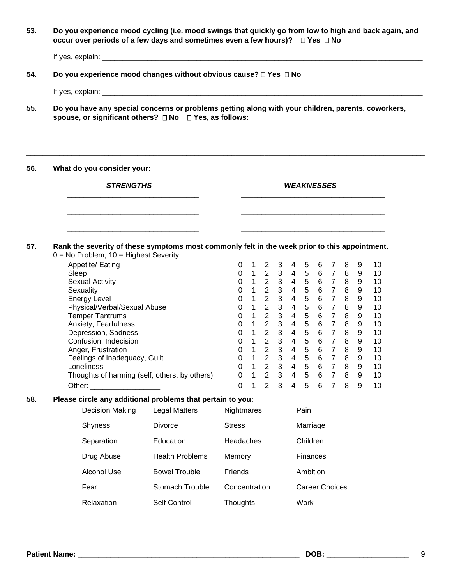**53. Do you experience mood cycling (i.e. mood swings that quickly go from low to high and back again, and occur over periods of a few days and sometimes even a few hours)? Yes No**

If yes, explain: \_\_\_\_\_\_\_\_\_\_\_\_\_\_\_\_\_\_\_\_\_\_\_\_\_\_\_\_\_\_\_\_\_\_\_\_\_\_\_\_\_\_\_\_\_\_\_\_\_\_\_\_\_\_\_\_\_\_\_\_\_\_\_\_\_\_\_\_\_\_\_\_\_\_\_\_\_\_

**54. Do you experience mood changes without obvious cause? Yes No**

 $\overline{\phantom{a}}$  ,  $\overline{\phantom{a}}$  ,  $\overline{\phantom{a}}$  ,  $\overline{\phantom{a}}$  ,  $\overline{\phantom{a}}$  ,  $\overline{\phantom{a}}$  ,  $\overline{\phantom{a}}$  ,  $\overline{\phantom{a}}$  ,  $\overline{\phantom{a}}$  ,  $\overline{\phantom{a}}$  ,  $\overline{\phantom{a}}$  ,  $\overline{\phantom{a}}$  ,  $\overline{\phantom{a}}$  ,  $\overline{\phantom{a}}$  ,  $\overline{\phantom{a}}$  ,  $\overline{\phantom{a}}$ 

\_\_\_\_\_\_\_\_\_\_\_\_\_\_\_\_\_\_\_\_\_\_\_\_\_\_\_\_\_\_\_\_ \_\_\_\_\_\_\_\_\_\_\_\_\_\_\_\_\_\_\_\_\_\_\_\_\_\_\_\_\_\_\_\_\_\_\_

If yes, explain: \_\_\_\_\_\_\_\_\_\_\_\_\_\_\_\_\_\_\_\_\_\_\_\_\_\_\_\_\_\_\_\_\_\_\_\_\_\_\_\_\_\_\_\_\_\_\_\_\_\_\_\_\_\_\_\_\_\_\_\_\_\_\_\_\_\_\_\_\_\_\_\_\_\_\_\_\_\_

**55. Do you have any special concerns or problems getting along with your children, parents, coworkers,**  spouse, or significant others? □ No □ Yes, as follows: \_\_\_\_\_\_\_\_\_\_\_\_\_\_\_\_\_\_\_\_\_\_\_\_\_\_

 $\Box$ 

**56. What do you consider your:**

*STRENGTHS WEAKNESSES*

**57. Rank the severity of these symptoms most commonly felt in the week prior to this appointment.**  $0 = No$  Problem,  $10 =$  Highest Severity

 $\overline{\phantom{a}}$  ,  $\overline{\phantom{a}}$  ,  $\overline{\phantom{a}}$  ,  $\overline{\phantom{a}}$  ,  $\overline{\phantom{a}}$  ,  $\overline{\phantom{a}}$  ,  $\overline{\phantom{a}}$  ,  $\overline{\phantom{a}}$  ,  $\overline{\phantom{a}}$  ,  $\overline{\phantom{a}}$  ,  $\overline{\phantom{a}}$  ,  $\overline{\phantom{a}}$  ,  $\overline{\phantom{a}}$  ,  $\overline{\phantom{a}}$  ,  $\overline{\phantom{a}}$  ,  $\overline{\phantom{a}}$ 

| Appetite/ Eating                              | 0 |   | 2 | 3 | 4 | 5 | 6 | 8 | 9 | 10 |
|-----------------------------------------------|---|---|---|---|---|---|---|---|---|----|
| Sleep                                         | 0 | 1 | 2 | 3 | 4 | 5 | 6 | 8 | 9 | 10 |
| <b>Sexual Activity</b>                        | 0 | 1 | 2 | 3 | 4 | 5 | 6 | 8 | 9 | 10 |
| Sexuality                                     | 0 |   | 2 | 3 | 4 | 5 | 6 | 8 | 9 | 10 |
| <b>Energy Level</b>                           | 0 | 1 | 2 | 3 | 4 | 5 | 6 | 8 | 9 | 10 |
| Physical/Verbal/Sexual Abuse                  | 0 | 1 | 2 | 3 | 4 | 5 | 6 | 8 | 9 | 10 |
| <b>Temper Tantrums</b>                        | 0 | 1 | 2 | 3 | 4 | 5 | 6 | 8 | 9 | 10 |
| Anxiety, Fearfulness                          | 0 | 1 | 2 | 3 | 4 | 5 | 6 | 8 | 9 | 10 |
| Depression, Sadness                           | 0 | 1 | 2 | 3 | 4 | 5 | 6 | 8 | 9 | 10 |
| Confusion, Indecision                         | 0 | 1 | 2 | 3 | 4 | 5 | 6 | 8 | 9 | 10 |
| Anger, Frustration                            | 0 | 1 | 2 | 3 | 4 | 5 | 6 | 8 | 9 | 10 |
| Feelings of Inadequacy, Guilt                 | 0 | 1 | 2 | 3 | 4 | 5 | 6 | 8 | 9 | 10 |
| Loneliness                                    | 0 | 1 | 2 | 3 | 4 | 5 | 6 | 8 | 9 | 10 |
| Thoughts of harming (self, others, by others) | 0 | 1 | 2 | 3 | 4 | 5 | 6 | 8 | 9 | 10 |
| Other:                                        | 0 |   | າ | 3 | 4 | 5 | 6 | 8 | 9 | 10 |
|                                               |   |   |   |   |   |   |   |   |   |    |

#### **58. Please circle any additional problems that pertain to you:**

| <b>Decision Making</b> | Legal Matters          | Nightmares    | Pain            |
|------------------------|------------------------|---------------|-----------------|
| <b>Shyness</b>         | Divorce                | <b>Stress</b> | Marriage        |
| Separation             | Education              | Headaches     | Children        |
| Drug Abuse             | <b>Health Problems</b> | Memory        | <b>Finances</b> |
| Alcohol Use            | <b>Bowel Trouble</b>   | Friends       | Ambition        |
| Fear                   | <b>Stomach Trouble</b> | Concentration | Career Choices  |
| Relaxation             | Self Control           | Thoughts      | Work            |